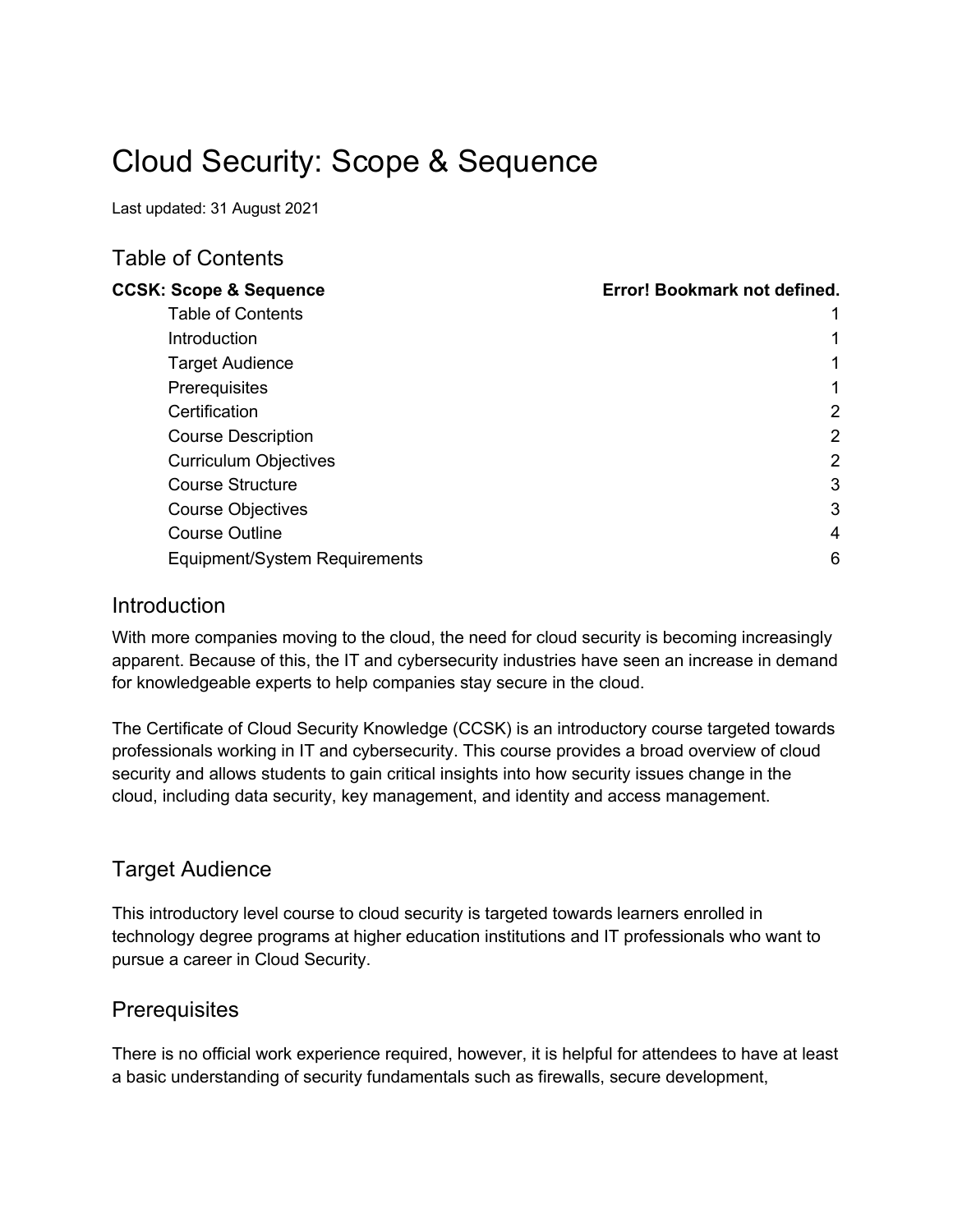# Cloud Security: Scope & Sequence

Last updated: 31 August 2021

## Table of Contents

| <b>CCSK: Scope &amp; Sequence</b> | Error! Bookmark not defined. |
|-----------------------------------|------------------------------|
| <b>Table of Contents</b>          |                              |
| <b>Introduction</b>               |                              |
| <b>Target Audience</b>            | 1                            |
| Prerequisites                     | 1                            |
| Certification                     | $\overline{2}$               |
| <b>Course Description</b>         | $\overline{2}$               |
| <b>Curriculum Objectives</b>      | 2                            |
| <b>Course Structure</b>           | 3                            |
| <b>Course Objectives</b>          | 3                            |
| <b>Course Outline</b>             | 4                            |
| Equipment/System Requirements     | 6                            |

#### Introduction

With more companies moving to the cloud, the need for cloud security is becoming increasingly apparent. Because of this, the IT and cybersecurity industries have seen an increase in demand for knowledgeable experts to help companies stay secure in the cloud.

The Certificate of Cloud Security Knowledge (CCSK) is an introductory course targeted towards professionals working in IT and cybersecurity. This course provides a broad overview of cloud security and allows students to gain critical insights into how security issues change in the cloud, including data security, key management, and identity and access management.

## Target Audience

This introductory level course to cloud security is targeted towards learners enrolled in technology degree programs at higher education institutions and IT professionals who want to pursue a career in Cloud Security.

## **Prerequisites**

There is no official work experience required, however, it is helpful for attendees to have at least a basic understanding of security fundamentals such as firewalls, secure development,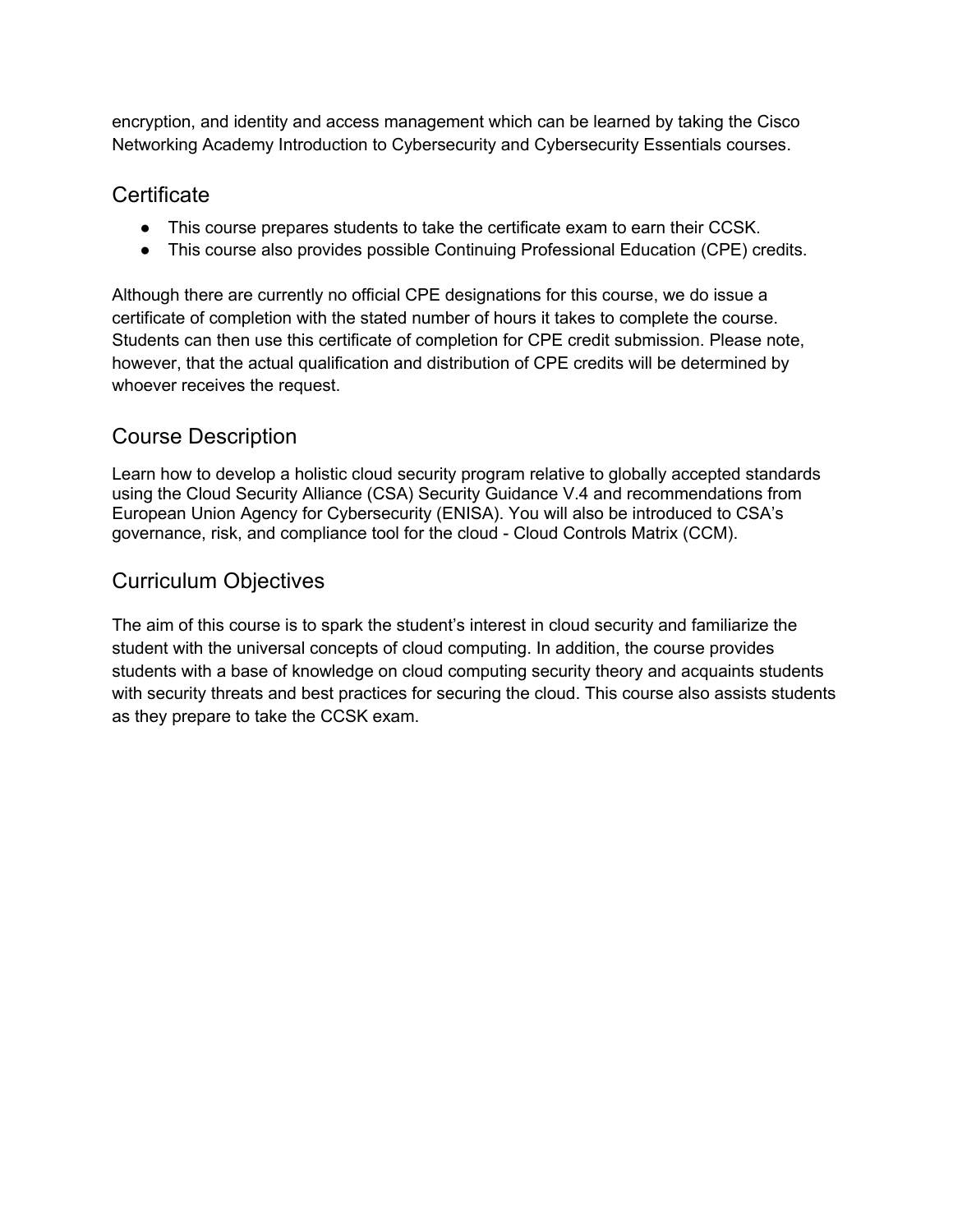encryption, and identity and access management which can be learned by taking the Cisco Networking Academy Introduction to Cybersecurity and Cybersecurity Essentials courses.

## **Certificate**

- This course prepares students to take the certificate exam to earn their CCSK.
- This course also provides possible Continuing Professional Education (CPE) credits.

Although there are currently no official CPE designations for this course, we do issue a certificate of completion with the stated number of hours it takes to complete the course. Students can then use this certificate of completion for CPE credit submission. Please note, however, that the actual qualification and distribution of CPE credits will be determined by whoever receives the request.

# Course Description

Learn how to develop a holistic cloud security program relative to globally accepted standards using the Cloud Security Alliance (CSA) Security Guidance V.4 and recommendations from European Union Agency for Cybersecurity (ENISA). You will also be introduced to CSA's governance, risk, and compliance tool for the cloud - Cloud Controls Matrix (CCM).

# Curriculum Objectives

The aim of this course is to spark the student's interest in cloud security and familiarize the student with the universal concepts of cloud computing. In addition, the course provides students with a base of knowledge on cloud computing security theory and acquaints students with security threats and best practices for securing the cloud. This course also assists students as they prepare to take the CCSK exam.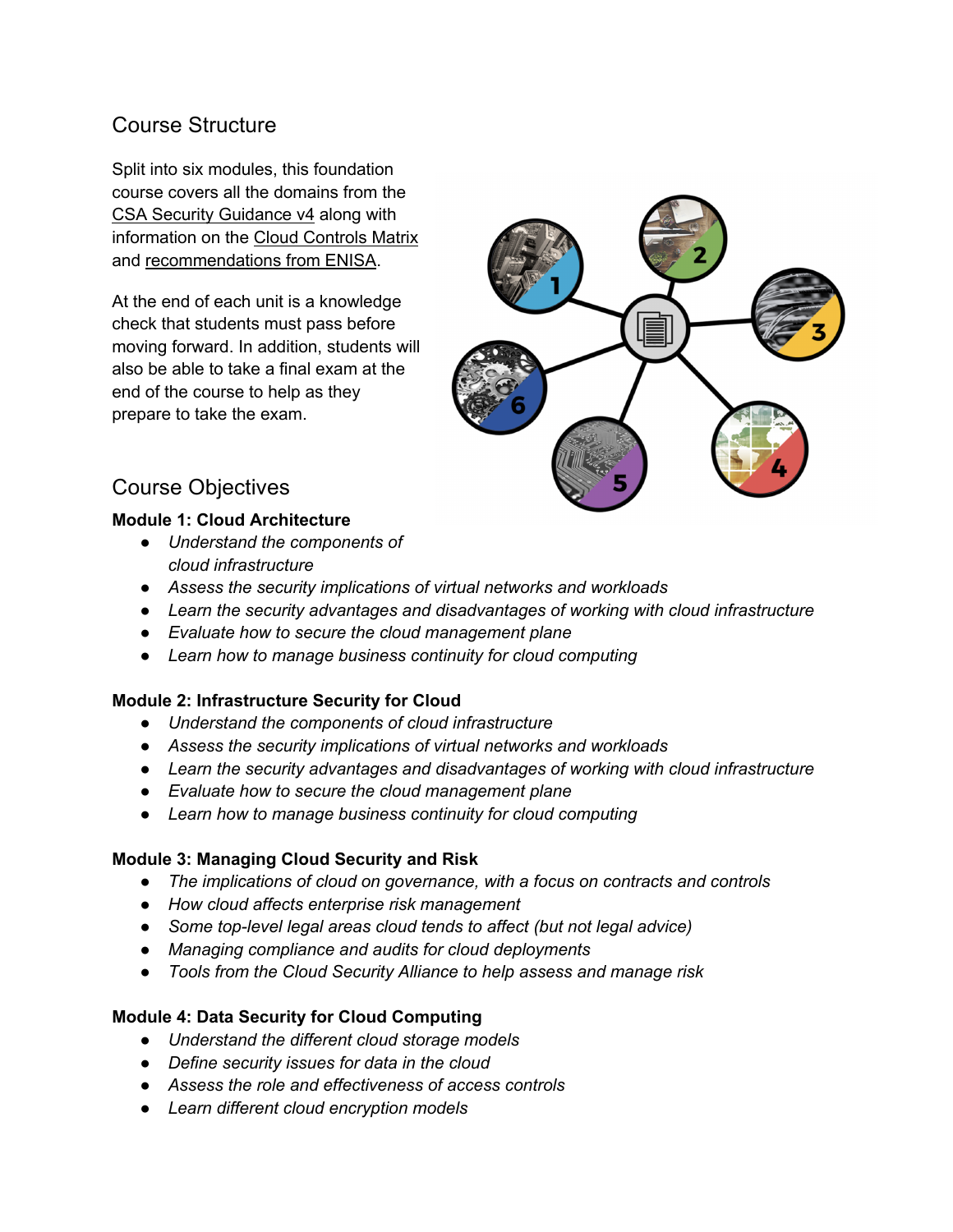# Course Structure

Split into six modules, this foundation course covers all the domains from the CSA Security Guidance v4 along with information on the Cloud Controls Matrix and recommendations from ENISA.

At the end of each unit is a knowledge check that students must pass before moving forward. In addition, students will also be able to take a final exam at the end of the course to help as they prepare to take the exam.



# Course Objectives

#### **Module 1: Cloud Architecture**

- *Understand the components of cloud infrastructure*
- *Assess the security implications of virtual networks and workloads*
- *Learn the security advantages and disadvantages of working with cloud infrastructure*
- *Evaluate how to secure the cloud management plane*
- *Learn how to manage business continuity for cloud computing*

## **Module 2: Infrastructure Security for Cloud**

- *Understand the components of cloud infrastructure*
- *Assess the security implications of virtual networks and workloads*
- *Learn the security advantages and disadvantages of working with cloud infrastructure*
- *Evaluate how to secure the cloud management plane*
- *Learn how to manage business continuity for cloud computing*

## **Module 3: Managing Cloud Security and Risk**

- *The implications of cloud on governance, with a focus on contracts and controls*
- *How cloud affects enterprise risk management*
- *Some top-level legal areas cloud tends to affect (but not legal advice)*
- *Managing compliance and audits for cloud deployments*
- *Tools from the Cloud Security Alliance to help assess and manage risk*

## **Module 4: Data Security for Cloud Computing**

- *Understand the different cloud storage models*
- *Define security issues for data in the cloud*
- *Assess the role and effectiveness of access controls*
- *Learn different cloud encryption models*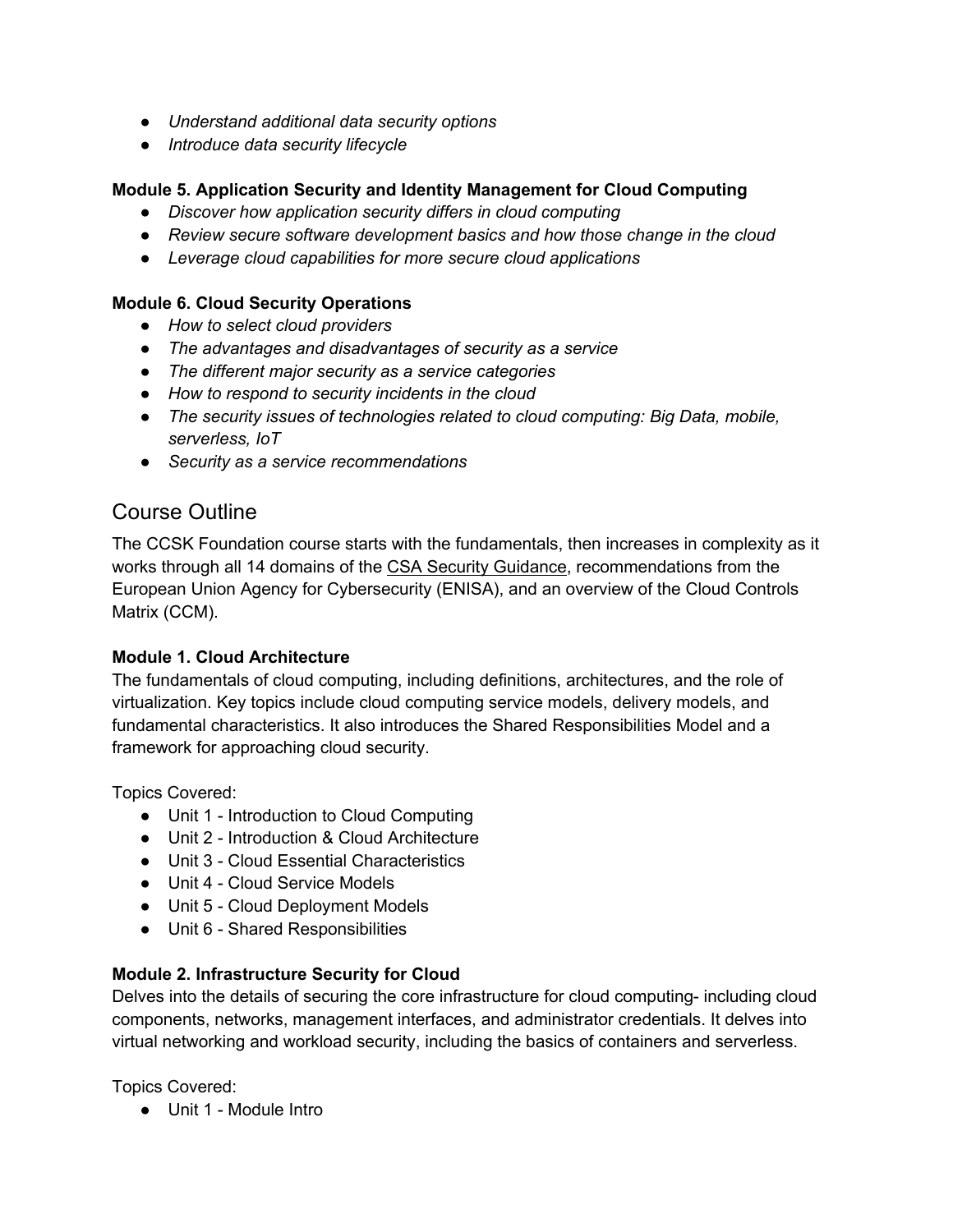- *Understand additional data security options*
- *Introduce data security lifecycle*

#### **Module 5. Application Security and Identity Management for Cloud Computing**

- *Discover how application security differs in cloud computing*
- *Review secure software development basics and how those change in the cloud*
- *Leverage cloud capabilities for more secure cloud applications*

#### **Module 6. Cloud Security Operations**

- *How to select cloud providers*
- *The advantages and disadvantages of security as a service*
- *The different major security as a service categories*
- *How to respond to security incidents in the cloud*
- *The security issues of technologies related to cloud computing: Big Data, mobile, serverless, IoT*
- *Security as a service recommendations*

## Course Outline

The CCSK Foundation course starts with the fundamentals, then increases in complexity as it works through all 14 domains of the CSA Security Guidance, recommendations from the European Union Agency for Cybersecurity (ENISA), and an overview of the Cloud Controls Matrix (CCM).

#### **Module 1. Cloud Architecture**

The fundamentals of cloud computing, including definitions, architectures, and the role of virtualization. Key topics include cloud computing service models, delivery models, and fundamental characteristics. It also introduces the Shared Responsibilities Model and a framework for approaching cloud security.

Topics Covered:

- Unit 1 Introduction to Cloud Computing
- Unit 2 Introduction & Cloud Architecture
- Unit 3 Cloud Essential Characteristics
- Unit 4 Cloud Service Models
- Unit 5 Cloud Deployment Models
- Unit 6 Shared Responsibilities

#### **Module 2. Infrastructure Security for Cloud**

Delves into the details of securing the core infrastructure for cloud computing- including cloud components, networks, management interfaces, and administrator credentials. It delves into virtual networking and workload security, including the basics of containers and serverless.

Topics Covered:

● Unit 1 - Module Intro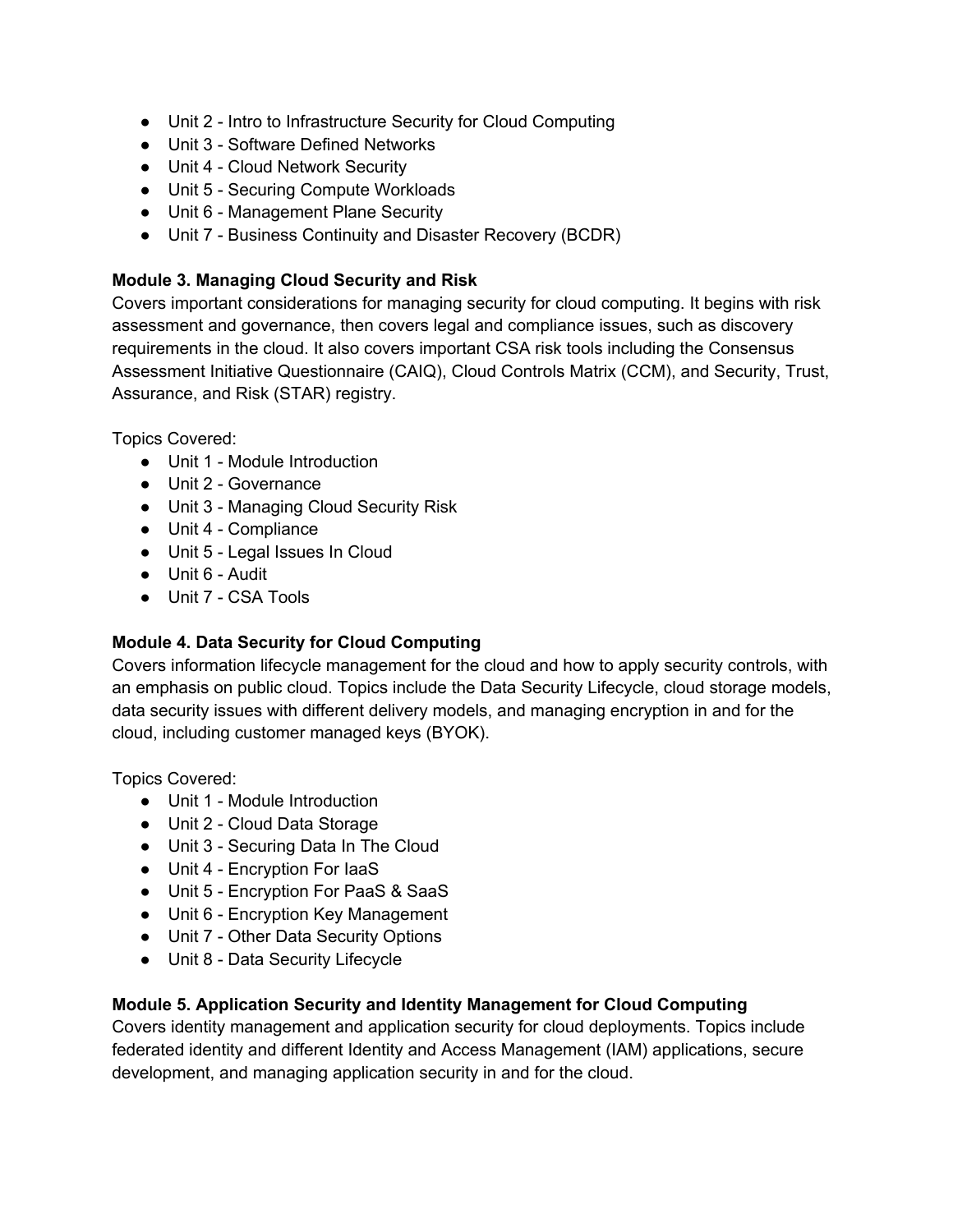- Unit 2 Intro to Infrastructure Security for Cloud Computing
- Unit 3 Software Defined Networks
- Unit 4 Cloud Network Security
- Unit 5 Securing Compute Workloads
- Unit 6 Management Plane Security
- Unit 7 Business Continuity and Disaster Recovery (BCDR)

#### **Module 3. Managing Cloud Security and Risk**

Covers important considerations for managing security for cloud computing. It begins with risk assessment and governance, then covers legal and compliance issues, such as discovery requirements in the cloud. It also covers important CSA risk tools including the Consensus Assessment Initiative Questionnaire (CAIQ), Cloud Controls Matrix (CCM), and Security, Trust, Assurance, and Risk (STAR) registry.

Topics Covered:

- Unit 1 Module Introduction
- Unit 2 Governance
- Unit 3 Managing Cloud Security Risk
- Unit 4 Compliance
- Unit 5 Legal Issues In Cloud
- Unit 6 Audit
- Unit 7 CSA Tools

#### **Module 4. Data Security for Cloud Computing**

Covers information lifecycle management for the cloud and how to apply security controls, with an emphasis on public cloud. Topics include the Data Security Lifecycle, cloud storage models, data security issues with different delivery models, and managing encryption in and for the cloud, including customer managed keys (BYOK).

Topics Covered:

- Unit 1 Module Introduction
- Unit 2 Cloud Data Storage
- Unit 3 Securing Data In The Cloud
- Unit 4 Encryption For laaS
- Unit 5 Encryption For PaaS & SaaS
- Unit 6 Encryption Key Management
- Unit 7 Other Data Security Options
- Unit 8 Data Security Lifecycle

#### **Module 5. Application Security and Identity Management for Cloud Computing**

Covers identity management and application security for cloud deployments. Topics include federated identity and different Identity and Access Management (IAM) applications, secure development, and managing application security in and for the cloud.